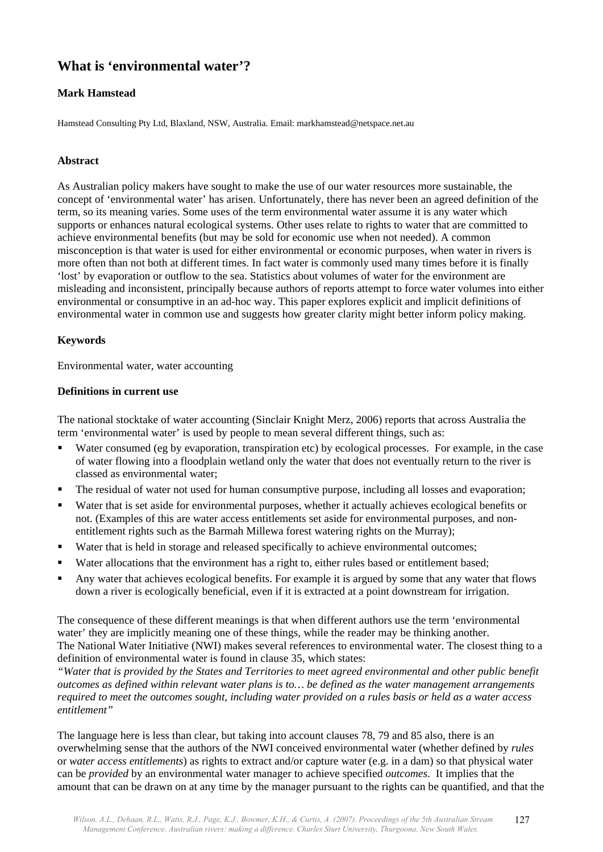# **What is 'environmental water'?**

## **Mark Hamstead**

Hamstead Consulting Pty Ltd, Blaxland, NSW, Australia. Email: markhamstead@netspace.net.au

## **Abstract**

As Australian policy makers have sought to make the use of our water resources more sustainable, the concept of 'environmental water' has arisen. Unfortunately, there has never been an agreed definition of the term, so its meaning varies. Some uses of the term environmental water assume it is any water which supports or enhances natural ecological systems. Other uses relate to rights to water that are committed to achieve environmental benefits (but may be sold for economic use when not needed). A common misconception is that water is used for either environmental or economic purposes, when water in rivers is more often than not both at different times. In fact water is commonly used many times before it is finally 'lost' by evaporation or outflow to the sea. Statistics about volumes of water for the environment are misleading and inconsistent, principally because authors of reports attempt to force water volumes into either environmental or consumptive in an ad-hoc way. This paper explores explicit and implicit definitions of environmental water in common use and suggests how greater clarity might better inform policy making.

## **Keywords**

Environmental water, water accounting

### **Definitions in current use**

The national stocktake of water accounting (Sinclair Knight Merz, 2006) reports that across Australia the term 'environmental water' is used by people to mean several different things, such as:

- Water consumed (eg by evaporation, transpiration etc) by ecological processes. For example, in the case of water flowing into a floodplain wetland only the water that does not eventually return to the river is classed as environmental water;
- The residual of water not used for human consumptive purpose, including all losses and evaporation;
- Water that is set aside for environmental purposes, whether it actually achieves ecological benefits or not. (Examples of this are water access entitlements set aside for environmental purposes, and nonentitlement rights such as the Barmah Millewa forest watering rights on the Murray);
- Water that is held in storage and released specifically to achieve environmental outcomes;
- Water allocations that the environment has a right to, either rules based or entitlement based;
- Any water that achieves ecological benefits. For example it is argued by some that any water that flows down a river is ecologically beneficial, even if it is extracted at a point downstream for irrigation.

The consequence of these different meanings is that when different authors use the term 'environmental water' they are implicitly meaning one of these things, while the reader may be thinking another. The National Water Initiative (NWI) makes several references to environmental water. The closest thing to a definition of environmental water is found in clause 35, which states:

*"Water that is provided by the States and Territories to meet agreed environmental and other public benefit outcomes as defined within relevant water plans is to… be defined as the water management arrangements required to meet the outcomes sought, including water provided on a rules basis or held as a water access entitlement"* 

The language here is less than clear, but taking into account clauses 78, 79 and 85 also, there is an overwhelming sense that the authors of the NWI conceived environmental water (whether defined by *rules* or *water access entitlements*) as rights to extract and/or capture water (e.g. in a dam) so that physical water can be *provided* by an environmental water manager to achieve specified *outcomes*. It implies that the amount that can be drawn on at any time by the manager pursuant to the rights can be quantified, and that the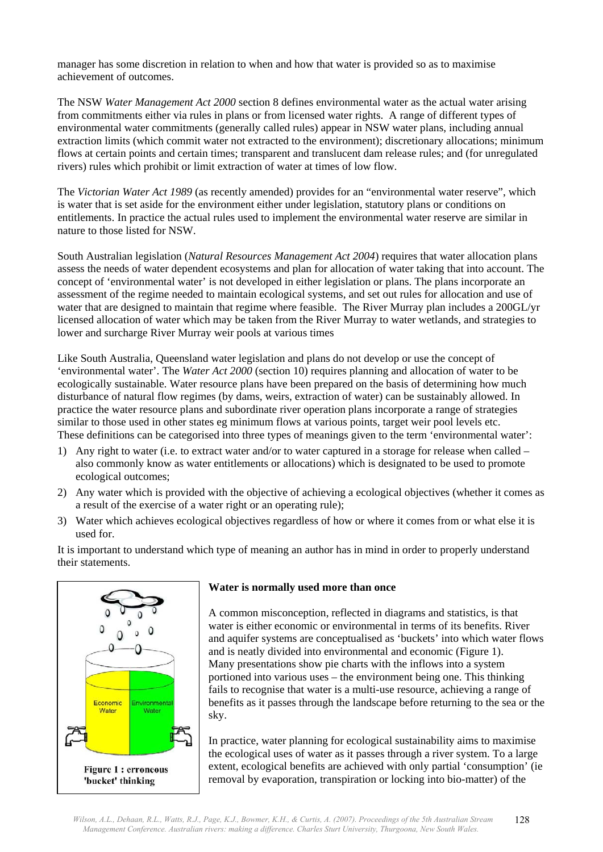manager has some discretion in relation to when and how that water is provided so as to maximise achievement of outcomes.

The NSW *Water Management Act 2000* section 8 defines environmental water as the actual water arising from commitments either via rules in plans or from licensed water rights. A range of different types of environmental water commitments (generally called rules) appear in NSW water plans, including annual extraction limits (which commit water not extracted to the environment); discretionary allocations; minimum flows at certain points and certain times; transparent and translucent dam release rules; and (for unregulated rivers) rules which prohibit or limit extraction of water at times of low flow.

The *Victorian Water Act 1989* (as recently amended) provides for an "environmental water reserve", which is water that is set aside for the environment either under legislation, statutory plans or conditions on entitlements. In practice the actual rules used to implement the environmental water reserve are similar in nature to those listed for NSW.

South Australian legislation (*Natural Resources Management Act 2004*) requires that water allocation plans assess the needs of water dependent ecosystems and plan for allocation of water taking that into account. The concept of 'environmental water' is not developed in either legislation or plans. The plans incorporate an assessment of the regime needed to maintain ecological systems, and set out rules for allocation and use of water that are designed to maintain that regime where feasible. The River Murray plan includes a 200GL/yr licensed allocation of water which may be taken from the River Murray to water wetlands, and strategies to lower and surcharge River Murray weir pools at various times

Like South Australia, Queensland water legislation and plans do not develop or use the concept of 'environmental water'. The *Water Act 2000* (section 10) requires planning and allocation of water to be ecologically sustainable. Water resource plans have been prepared on the basis of determining how much disturbance of natural flow regimes (by dams, weirs, extraction of water) can be sustainably allowed. In practice the water resource plans and subordinate river operation plans incorporate a range of strategies similar to those used in other states eg minimum flows at various points, target weir pool levels etc. These definitions can be categorised into three types of meanings given to the term 'environmental water':

- 1) Any right to water (i.e. to extract water and/or to water captured in a storage for release when called also commonly know as water entitlements or allocations) which is designated to be used to promote ecological outcomes;
- 2) Any water which is provided with the objective of achieving a ecological objectives (whether it comes as a result of the exercise of a water right or an operating rule);
- 3) Water which achieves ecological objectives regardless of how or where it comes from or what else it is used for.

It is important to understand which type of meaning an author has in mind in order to properly understand their statements.



## **Water is normally used more than once**

A common misconception, reflected in diagrams and statistics, is that water is either economic or environmental in terms of its benefits. River and aquifer systems are conceptualised as 'buckets' into which water flows and is neatly divided into environmental and economic (Figure 1). Many presentations show pie charts with the inflows into a system portioned into various uses – the environment being one. This thinking fails to recognise that water is a multi-use resource, achieving a range of benefits as it passes through the landscape before returning to the sea or the sky.

In practice, water planning for ecological sustainability aims to maximise the ecological uses of water as it passes through a river system. To a large extent, ecological benefits are achieved with only partial 'consumption' (ie removal by evaporation, transpiration or locking into bio-matter) of the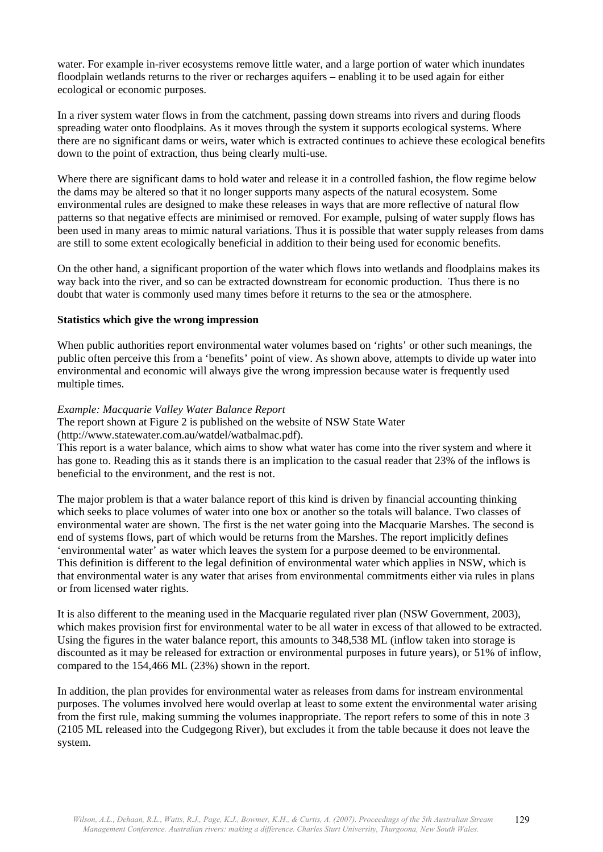water. For example in-river ecosystems remove little water, and a large portion of water which inundates floodplain wetlands returns to the river or recharges aquifers – enabling it to be used again for either ecological or economic purposes.

In a river system water flows in from the catchment, passing down streams into rivers and during floods spreading water onto floodplains. As it moves through the system it supports ecological systems. Where there are no significant dams or weirs, water which is extracted continues to achieve these ecological benefits down to the point of extraction, thus being clearly multi-use.

Where there are significant dams to hold water and release it in a controlled fashion, the flow regime below the dams may be altered so that it no longer supports many aspects of the natural ecosystem. Some environmental rules are designed to make these releases in ways that are more reflective of natural flow patterns so that negative effects are minimised or removed. For example, pulsing of water supply flows has been used in many areas to mimic natural variations. Thus it is possible that water supply releases from dams are still to some extent ecologically beneficial in addition to their being used for economic benefits.

On the other hand, a significant proportion of the water which flows into wetlands and floodplains makes its way back into the river, and so can be extracted downstream for economic production. Thus there is no doubt that water is commonly used many times before it returns to the sea or the atmosphere.

#### **Statistics which give the wrong impression**

When public authorities report environmental water volumes based on 'rights' or other such meanings, the public often perceive this from a 'benefits' point of view. As shown above, attempts to divide up water into environmental and economic will always give the wrong impression because water is frequently used multiple times.

#### *Example: Macquarie Valley Water Balance Report*

The report shown at Figure 2 is published on the website of NSW State Water

(http://www.statewater.com.au/watdel/watbalmac.pdf).

This report is a water balance, which aims to show what water has come into the river system and where it has gone to. Reading this as it stands there is an implication to the casual reader that 23% of the inflows is beneficial to the environment, and the rest is not.

The major problem is that a water balance report of this kind is driven by financial accounting thinking which seeks to place volumes of water into one box or another so the totals will balance. Two classes of environmental water are shown. The first is the net water going into the Macquarie Marshes. The second is end of systems flows, part of which would be returns from the Marshes. The report implicitly defines 'environmental water' as water which leaves the system for a purpose deemed to be environmental. This definition is different to the legal definition of environmental water which applies in NSW, which is that environmental water is any water that arises from environmental commitments either via rules in plans or from licensed water rights.

It is also different to the meaning used in the Macquarie regulated river plan (NSW Government, 2003), which makes provision first for environmental water to be all water in excess of that allowed to be extracted. Using the figures in the water balance report, this amounts to 348,538 ML (inflow taken into storage is discounted as it may be released for extraction or environmental purposes in future years), or 51% of inflow, compared to the 154,466 ML (23%) shown in the report.

In addition, the plan provides for environmental water as releases from dams for instream environmental purposes. The volumes involved here would overlap at least to some extent the environmental water arising from the first rule, making summing the volumes inappropriate. The report refers to some of this in note 3 (2105 ML released into the Cudgegong River), but excludes it from the table because it does not leave the system.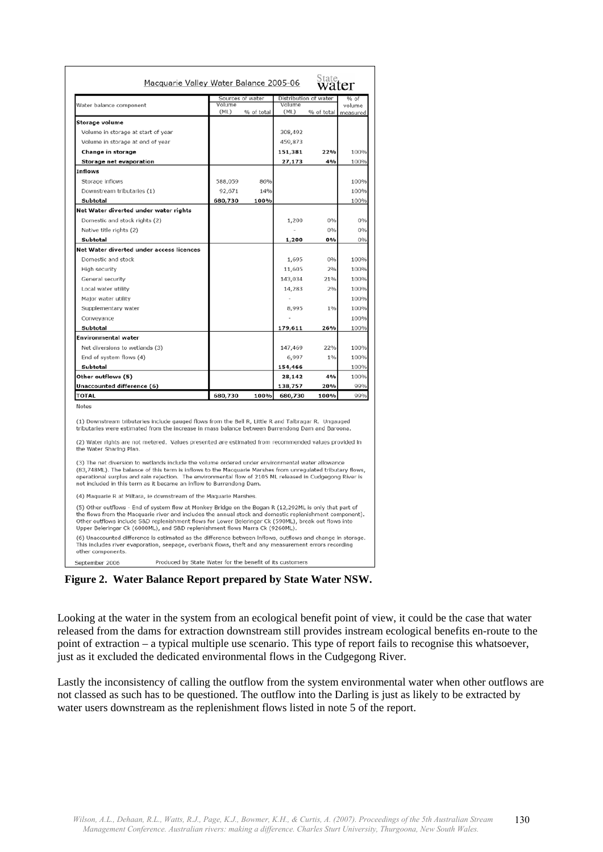| Macquarie Valley Water Balance 2005-06                                                                                                                                                                                                                                                                                                                                                                                                                                                                                  |                                                          |                  |                | <sub>State</sub><br><b>Water</b> |                    |
|-------------------------------------------------------------------------------------------------------------------------------------------------------------------------------------------------------------------------------------------------------------------------------------------------------------------------------------------------------------------------------------------------------------------------------------------------------------------------------------------------------------------------|----------------------------------------------------------|------------------|----------------|----------------------------------|--------------------|
|                                                                                                                                                                                                                                                                                                                                                                                                                                                                                                                         |                                                          | Sources of water |                | Distribution of water            | % of               |
| Water balance component                                                                                                                                                                                                                                                                                                                                                                                                                                                                                                 | Volume<br>(ML)                                           | % of total       | Volume<br>(ML) | % of total                       | volume<br>measured |
| Storage volume                                                                                                                                                                                                                                                                                                                                                                                                                                                                                                          |                                                          |                  |                |                                  |                    |
| Volume in storage at start of year                                                                                                                                                                                                                                                                                                                                                                                                                                                                                      |                                                          |                  | 308,492        |                                  |                    |
| Volume in storage at end of year                                                                                                                                                                                                                                                                                                                                                                                                                                                                                        |                                                          |                  | 459,873        |                                  |                    |
| Change in storage                                                                                                                                                                                                                                                                                                                                                                                                                                                                                                       |                                                          |                  | 151,381        | 22%                              | 100%               |
| Storage net evaporation                                                                                                                                                                                                                                                                                                                                                                                                                                                                                                 |                                                          |                  | 27,173         | 4%                               | 100%               |
| Inflows                                                                                                                                                                                                                                                                                                                                                                                                                                                                                                                 |                                                          |                  |                |                                  |                    |
| Storage inflows                                                                                                                                                                                                                                                                                                                                                                                                                                                                                                         | 588,059                                                  | 86%              |                |                                  | 100%               |
| Downstream tributaries (1)                                                                                                                                                                                                                                                                                                                                                                                                                                                                                              | 92,671                                                   | 14%              |                |                                  | 100%               |
| Subtotal                                                                                                                                                                                                                                                                                                                                                                                                                                                                                                                | 680,730                                                  | 100%             |                |                                  | 100%               |
| Net Water diverted under water rights                                                                                                                                                                                                                                                                                                                                                                                                                                                                                   |                                                          |                  |                |                                  |                    |
| Domestic and stock rights (2)                                                                                                                                                                                                                                                                                                                                                                                                                                                                                           |                                                          |                  | 1,200          | 0%                               | 0%                 |
| Native title rights (2)                                                                                                                                                                                                                                                                                                                                                                                                                                                                                                 |                                                          |                  |                | 0%                               | 0%                 |
| Subtotal                                                                                                                                                                                                                                                                                                                                                                                                                                                                                                                |                                                          |                  | 1,200          | 0%                               | 0%                 |
| Net Water diverted under access licences                                                                                                                                                                                                                                                                                                                                                                                                                                                                                |                                                          |                  |                |                                  |                    |
| Domestic and stock                                                                                                                                                                                                                                                                                                                                                                                                                                                                                                      |                                                          |                  | 1,695          | 0%                               | 100%               |
| High security                                                                                                                                                                                                                                                                                                                                                                                                                                                                                                           |                                                          |                  | 11,605         | 2%                               | 100%               |
| General security                                                                                                                                                                                                                                                                                                                                                                                                                                                                                                        |                                                          |                  | 143,034        | 21%                              | 100%               |
| Local water utility                                                                                                                                                                                                                                                                                                                                                                                                                                                                                                     |                                                          |                  | 14,283         | 2%                               | 100%               |
| Major water utility                                                                                                                                                                                                                                                                                                                                                                                                                                                                                                     |                                                          |                  |                |                                  | 100%               |
| Supplementary water                                                                                                                                                                                                                                                                                                                                                                                                                                                                                                     |                                                          |                  | 8,995          | 1%                               | 100%               |
|                                                                                                                                                                                                                                                                                                                                                                                                                                                                                                                         |                                                          |                  |                |                                  | 100%               |
| Conveyance<br>Subtotal                                                                                                                                                                                                                                                                                                                                                                                                                                                                                                  |                                                          |                  | 179,611        | 26%                              | 100%               |
| <b>Environmental water</b>                                                                                                                                                                                                                                                                                                                                                                                                                                                                                              |                                                          |                  |                |                                  |                    |
| Net diversions to wetlands (3)                                                                                                                                                                                                                                                                                                                                                                                                                                                                                          |                                                          |                  | 147,469        | 22%                              | 100%               |
| End of system flows (4)                                                                                                                                                                                                                                                                                                                                                                                                                                                                                                 |                                                          |                  | 6,997          | 1%                               | 100%               |
| Subtotal                                                                                                                                                                                                                                                                                                                                                                                                                                                                                                                |                                                          |                  | 154,466        |                                  | 100%               |
| Other outflows (5)                                                                                                                                                                                                                                                                                                                                                                                                                                                                                                      |                                                          |                  | 28,142         | 4%                               | 100%               |
| Unaccounted difference (6)                                                                                                                                                                                                                                                                                                                                                                                                                                                                                              |                                                          |                  | 138,757        | 20%                              | 99%                |
| <b>TOTAL</b>                                                                                                                                                                                                                                                                                                                                                                                                                                                                                                            | 680,730                                                  | 100%             | 680,730        | 100%                             | 99%                |
| Notes<br>(1) Downstream tributaries include gauged flows from the Bell R, Little R and Talbragar R. Ungauged<br>tributaries were estimated from the increase in mass balance between Burrendong Dam and Baroona.<br>(2) Water rights are not metered. Values presented are estimated from recommended values provided in<br>the Water Sharing Plan.<br>(3) The net diversion to wetlands include the volume ordered under environmental water allowance                                                                 |                                                          |                  |                |                                  |                    |
| (83,748ML). The balance of this term is inflows to the Macquarie Marshes from unregulated tributary flows,<br>operational surplus and rain rejection. The environmental flow of 2105 ML released in Cudgegong River is<br>not included in this term as it became an inflow to Burrendong Dam.                                                                                                                                                                                                                           |                                                          |                  |                |                                  |                    |
| (4) Maquarie R at Miltara, ie downstream of the Maquarie Marshes.                                                                                                                                                                                                                                                                                                                                                                                                                                                       |                                                          |                  |                |                                  |                    |
| (5) Other outflows - End of system flow at Monkey Bridge on the Bogan R (12,292ML is only that part of<br>the flows from the Macquarie river and includes the annual stock and domestic replenishment component).<br>Other outflows include S&D replenishment flows for Lower Beleringar Ck (590ML), break out flows into<br>Upper Beleringar Ck (6000ML), and S&D replenishment flows Marra Ck (9260ML).<br>(6) Unaccounted difference is estimated as the difference between inflows, outflows and change in storage. |                                                          |                  |                |                                  |                    |
| This includes river evaporation, seepage, overbank flows, theft and any measurement errors recording<br>other components.                                                                                                                                                                                                                                                                                                                                                                                               |                                                          |                  |                |                                  |                    |
| September 2006                                                                                                                                                                                                                                                                                                                                                                                                                                                                                                          | Produced by State Water for the benefit of its customers |                  |                |                                  |                    |

**Figure 2. Water Balance Report prepared by State Water NSW.**

Looking at the water in the system from an ecological benefit point of view, it could be the case that water released from the dams for extraction downstream still provides instream ecological benefits en-route to the point of extraction – a typical multiple use scenario. This type of report fails to recognise this whatsoever, just as it excluded the dedicated environmental flows in the Cudgegong River.

Lastly the inconsistency of calling the outflow from the system environmental water when other outflows are not classed as such has to be questioned. The outflow into the Darling is just as likely to be extracted by water users downstream as the replenishment flows listed in note 5 of the report.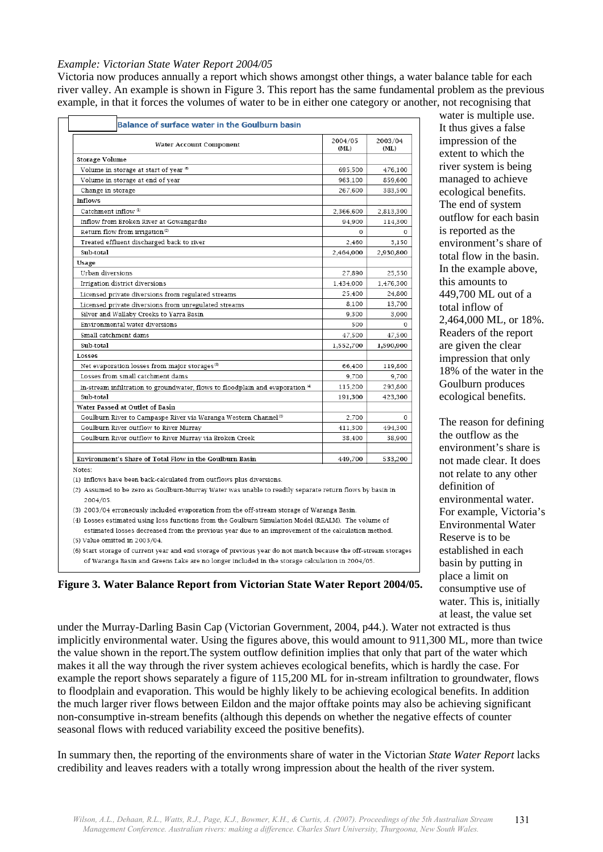#### *Example: Victorian State Water Report 2004/05*

Victoria now produces annually a report which shows amongst other things, a water balance table for each river valley. An example is shown in Figure 3. This report has the same fundamental problem as the previous example, in that it forces the volumes of water to be in either one category or another, not recognising that

| Water Account Component                                                        | 2004/05<br>(ML) | 2003/04<br>(ML) |
|--------------------------------------------------------------------------------|-----------------|-----------------|
| <b>Storage Volume</b>                                                          |                 |                 |
| Volume in storage at start of year (6)                                         | 695,500         | 476,100         |
| Volume in storage at end of year                                               | 963,100         | 859,600         |
| Change in storage                                                              | 267,600         | 383,500         |
| <b>Inflows</b>                                                                 |                 |                 |
| Catchment inflow <sup>(1)</sup>                                                | 2,366,600       | 2,813,300       |
| Inflow from Broken River at Gowangardie                                        | 94,900          | 114,300         |
| Return flow from irrigation <sup>(2)</sup>                                     | 0               | 0               |
| Treated effluent discharged back to river                                      | 2,460           | 3,150           |
| Sub-total                                                                      | 2,464,000       | 2,930,800       |
| Usage                                                                          |                 |                 |
| Urban diversions                                                               | 27,890          | 25,550          |
| Irrigation district diversions                                                 | 1,434,000       | 1,476,300       |
| Licensed private diversions from regulated streams                             | 25,400          | 24,800          |
| Licensed private diversions from unregulated streams                           | 8,100           | 13,700          |
| Silver and Wallaby Creeks to Yarra Basin                                       | 9,300           | 3,000           |
| Environmental water diversions                                                 | 500             | $\Omega$        |
| Small catchment dams                                                           | 47,500          | 47,500          |
| Sub-total                                                                      | 1,552,700       | 1,590,900       |
| Losses                                                                         |                 |                 |
| Net evaporation losses from major storages <sup>(3)</sup>                      | 66,400          | 119,800         |
| Losses from small catchment dams                                               | 9,700           | 9,700           |
| In-stream infiltration to groundwater, flows to floodplain and evaporation (4) | 115,200         | 293,800         |
| Sub-total                                                                      | 191,300         | 423,300         |
| Water Passed at Outlet of Basin                                                |                 |                 |
| Goulburn River to Campaspe River via Waranga Western Channel <sup>(5)</sup>    | 2,700           | $\Omega$        |
| Goulburn River outflow to River Murray                                         | 411,300         | 494,300         |
| Goulburn River outflow to River Murray via Broken Creek                        | 38,400          | 38,900          |
| Environment's Share of Total Flow in the Goulburn Basin                        | 449,700         | 533,200         |

water is multiple use. It thus gives a false impression of the extent to which the river system is being managed to achieve ecological benefits. The end of system outflow for each basin is reported as the environment's share of total flow in the basin. In the example above, this amounts to 449,700 ML out of a total inflow of 2,464,000 ML, or 18%. Readers of the report are given the clear impression that only 18% of the water in the Goulburn produces ecological benefits.

The reason for defining the outflow as the environment's share is not made clear. It does not relate to any other definition of environmental water. For example, Victoria's Environmental Water Reserve is to be established in each basin by putting in place a limit on consumptive use of water. This is, initially at least, the value set

(1) Inflows have been back-calculated from outflows plus diversions.

(2) Assumed to be zero as Goulburn-Murray Water was unable to readily separate return flows by basin in 2004/05

(3) 2003/04 erroneously included evaporation from the off-stream storage of Waranga Basin.

(4) Losses estimated using loss functions from the Goulburn Simulation Model (REALM). The volume of estimated losses decreased from the previous year due to an improvement of the calculation method. (5) Value omitted in 2003/04

(6) Start storage of current year and end storage of previous year do not match because the off-stream storages of Waranga Basin and Greens Lake are no longer included in the storage calculation in 2004/05.

**Figure 3. Water Balance Report from Victorian State Water Report 2004/05.**

under the Murray-Darling Basin Cap (Victorian Government, 2004, p44.). Water not extracted is thus implicitly environmental water. Using the figures above, this would amount to 911,300 ML, more than twice the value shown in the report.The system outflow definition implies that only that part of the water which makes it all the way through the river system achieves ecological benefits, which is hardly the case. For example the report shows separately a figure of 115,200 ML for in-stream infiltration to groundwater, flows to floodplain and evaporation. This would be highly likely to be achieving ecological benefits. In addition the much larger river flows between Eildon and the major offtake points may also be achieving significant non-consumptive in-stream benefits (although this depends on whether the negative effects of counter seasonal flows with reduced variability exceed the positive benefits).

In summary then, the reporting of the environments share of water in the Victorian *State Water Report* lacks credibility and leaves readers with a totally wrong impression about the health of the river system.